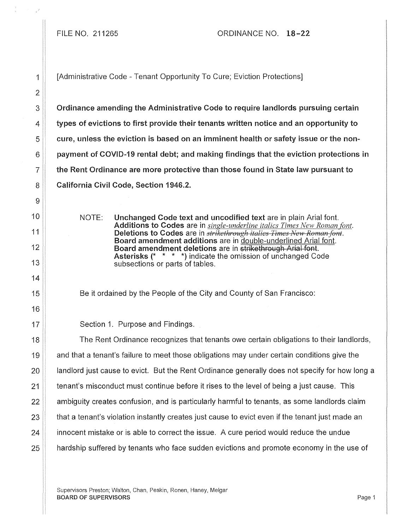## FILE NO. 211265 ORDINANCE NO. 18-22

1 | [Administrative Code - Tenant Opportunity To Cure; Eviction Protections]

Ordinance amending the Administrative Code to require landlords pursuing certain types of evictions to first provide their tenants written notice and an opportunity to cure, unless the eviction is based on an imminent health or safety issue or the nonpayment of COVID-19 rental debt; and making findings that the eviction protections in the Rent Ordinance are more protective than those found in State law pursuant to California Civil Code, Section 1946.2.

NOTE: Unchanged Code text and uncodified text are in plain Arial font. Additions to Codes are in *single-underline italics Times New Roman font.*  Deletions to Codes are in *strikethrough italies Times New Roman font.* Board amendment additions are in double-underlined Arial font. Board amendment deletions are in strikethrough Arial font. Asterisks (\* \* \* \*) indicate the omission of unchanged Code subsections or parts of tables.

Be it ordained by the People of the City and County of San Francisco:

17 **Section 1. Purpose and Findings.** 

 $\parallel$  The Rent Ordinance recognizes that tenants owe certain obligations to their landlords, and that a tenant's failure to meet those obligations may under certain conditions give the **landlord just cause to evict.** But the Rent Ordinance generally does not specify for how long a 21 tenant's misconduct must continue before it rises to the level of being a just cause. This  $\parallel$  ambiguity creates confusion, and is particularly harmful to tenants, as some landlords claim  $\parallel$  that a tenant's violation instantly creates just cause to evict even if the tenant just made an **i** innocent mistake or is able to correct the issue. A cure period would reduce the undue **hardship suffered by tenants who face sudden evictions and promote economy in the use of**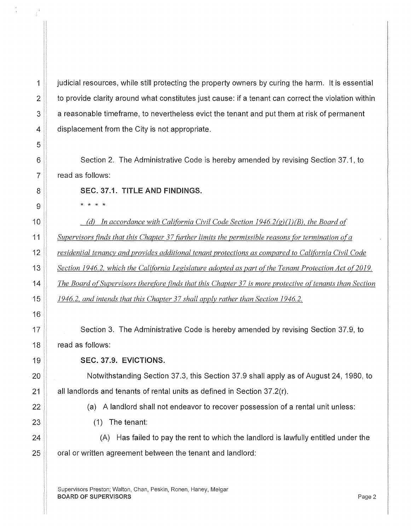judicial resources, while still protecting the property owners by curing the harm. It is essential to provide clarity around what constitutes just cause: if a tenant can correct the violation within a reasonable timeframe, to nevertheless evict the tenant and put them at risk of permanent displacement from the City is not appropriate.

Section 2. The Administrative Code is hereby amended by revising Section 37.1, to read as follows:

SEC. 37.1. TITLE AND FINDINGS.

\* \* \* \*

*(d) In accordance with California Civil Code Section 1946.2(g)(1)(B), the Board of Supervisors finds that this Chapter 37 fitrther limits the permissible reasons for termination ofa residential tenancy and provides additional tenant protections as compared to California Civil Code Section 1946.2, which the California Legislature adopted as part of the Tenant Protection Act of 2019. The Board of Supervisors therefore finds that this Chapter 37 is more protective of tenants than Section 1946.2, and intends that this Chapter 37 shall apply rather than Section 1946.2.* 

Section 3. The Administrative Code is hereby amended by revising Section 37.9, to read as follows:

## SEC. 37.9. EVICTIONS.

Notwithstanding Section 37.3, this Section 37.9 shall apply as of August 24, 1980, to all landlords and tenants of rental units as defined in Section 37.2(r).

(a) A landlord shall not endeavor to recover possession of a rental unit unless:

(1) The tenant:

(A) Has failed to pay the rent to which the landlord is lawfully entitled under the oral or written agreement between the tenant and landlord:

Supervisors Preston; Walton, Chan, Peskin, Ronen, Haney, Melgar **BOARD OF SUPERVISORS** Page 2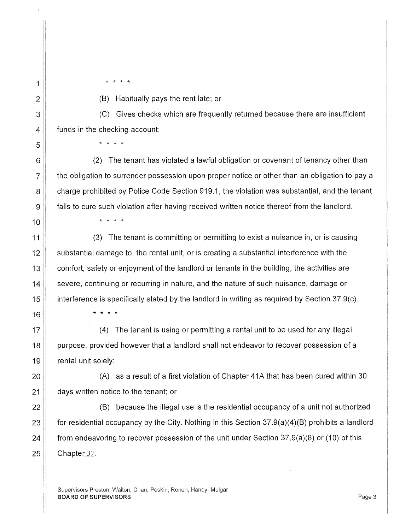\* \* \* \*

(B) Habitually pays the rent late; or

(C) Gives checks which are frequently returned because there are insufficient funds in the checking account;

\* \* \* \*

\* \* \* \*

(2) The tenant has violated a lawful obligation or covenant of tenancy other than the obligation to surrender possession upon proper notice or other than an obligation to pay a charge prohibited by Police Code Section 919.1, the violation was substantial, and the tenant fails to cure such violation after having received written notice thereof from the landlord.

(3) The tenant is committing or permitting to exist a nuisance in, or is causing substantial damage to, the rental unit, or is creating a substantial interference with the comfort, safety or enjoyment of the landlord or tenants in the building, the activities are severe, continuing or recurring in nature, and the nature of such nuisance, damage or interference is specifically stated by the landlord in writing as required by Section 37.9(c).

\* \* \* \*

(4) The tenant is using or permitting a rental unit to be used for any illegal purpose, provided however that a landlord shall not endeavor to recover possession of a rental unit solely:

(A) as a result of a first violation of Chapter 41A that has been cured within 30 days written notice to the tenant; or

(B) because the illegal use is the residential occupancy of a unit not authorized for residential occupancy by the City. Nothing in this Section 37.9(a)(4)(B) prohibits a landlord from endeavoring to recover possession of the unit under Section 37.9(a)(8) or (10) of this Chapter 37.

Supervisors Preston; Walton, Chan, Peskin, Ronen, Haney, Melgar **BOARD OF SUPERVISORS** Page 3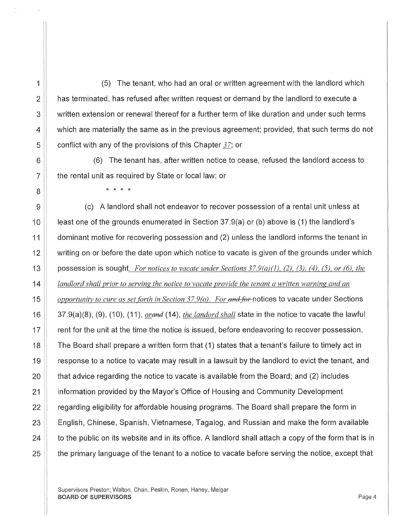(5) The tenant, who had an oral or written agreement with the landlord which has terminated, has refused after written request or demand by the landlord to execute a written extension or renewal thereof for a further term of like duration and under such terms which are materially the same as in the previous agreement; provided, that such terms do not conflict with any of the provisions of this Chapter *37;* or

(6) The tenant has, after written notice to cease, refused the landlord access to the rental unit as required by State or local law; or

\* \* \* \*

9  $\parallel$  (c) A landlord shall not endeavor to recover possession of a rental unit unless at 10 least one of the grounds enumerated in Section 37.9(a) or (b) above is (1) the landlord's 11 dominant motive for recovering possession and (2) unless the landlord informs the tenant in 12 writing on or before the date upon which notice to vacate is given of the grounds under which 13 possession is sought. *For notices to vacate under Sections 37.9(a)(J), (2), (3), (4), (5), or (6), the*  14 *landlord shall prior to serving the notice to vacate provide the tenant a written warning and an*  15 *opportunity to cure as set f'orth in Section 37.9(0). For and for* notices to vacate under Sections 16 37.9(a)(8), (9), (10), (11 ), *orend* (14), *the landord shall* state in the notice to vacate the lawful  $17$   $\parallel$  rent for the unit at the time the notice is issued, before endeavoring to recover possession. 18 | The Board shall prepare a written form that (1) states that a tenant's failure to timely act in 19 **Figure 20** response to a notice to vacate may result in a lawsuit by the landlord to evict the tenant, and  $20$  that advice regarding the notice to vacate is available from the Board; and (2) includes 21 information provided by the Mayor's Office of Housing and Community Development  $22$   $\parallel$  regarding eligibility for affordable housing programs. The Board shall prepare the form in 23 **English, Chinese, Spanish, Vietnamese, Tagalog, and Russian and make the form available**  $24$   $\parallel$  to the public on its website and in its office. A landlord shall attach a copy of the form that is in  $25$   $\parallel$  the primary language of the tenant to a notice to vacate before serving the notice, except that

Supervisors Preston; Walton, Chan, Peskin, Ronen, Haney, Melgar BOARD OF SUPERVISORS AND RESERVED FOR A SERVICE SUPERVISORS AND RESERVED FOR A SERVICE SUPERVISORS AND RESERVED FOR A SERVICE SUPERVISORS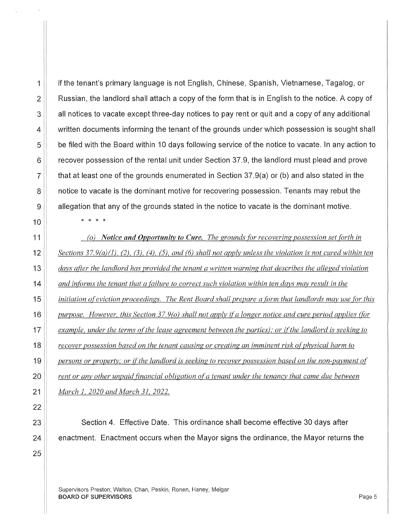\* \* \* \*

if the tenant's primary language is not English, Chinese, Spanish, Vietnamese, Tagalog, or Russian, the landlord shall attach a copy of the form that is in English to the notice. A copy of all notices to vacate except three-day notices to pay rent or quit and a copy of any additional written documents informing the tenant of the grounds under which possession is sought shall be filed with the Board within 10 days following service of the notice to vacate. In any action to recover possession of the rental unit under Section 37.9, the landlord must plead and prove that at least one of the grounds enumerated in Section 37.9(a) or (b) and also stated in the notice to vacate is the dominant motive for recovering possession. Tenants may rebut the allegation that any of the grounds stated in the notice to vacate is the dominant motive.

*(o) Notice and Opportunity to Cure. The grounds for recovering possession set forth in Sections 3* 7. *9(a)(l ), (2), (3 ), (4), (5), and (6) shall not apply unless the violation is not cured within ten days after the landlord has provided the tenant a written warning that describes the alleged violation and informs the tenant that a failure to correct such violation within ten days may result in the initiation of eviction proceedings. The Rent Board shall prepare a form that landlords may use for this purpose. However, this Section 37.9(0) shall not apply ifa longer notice and cure period applies (for example, under the terms of the lease agreement between the parties); or if the landlord is seeking to recover possession based on the tenant causing or creating an imminent risk of physical harm to persons or property; or if the landlord is seeking to recover possession based on the non-payment of rent or any other unpaid financial obligation of a tenant under the tenancy that came due between March l, 2020 and March 31, 2022.* 

Section 4. Effective Date. This ordinance shall become effective 30 days after enactment. Enactment occurs when the Mayor signs the ordinance, the Mayor returns the

Supervisors Preston; Walton, Chan, Peskin, Ronen, Haney, Melgar BOARD OF SUPERVISORS And the state of the state of the state of the state of the state of the state of the state of the state of the state of the state of the state of the state of the state of the state of the state of th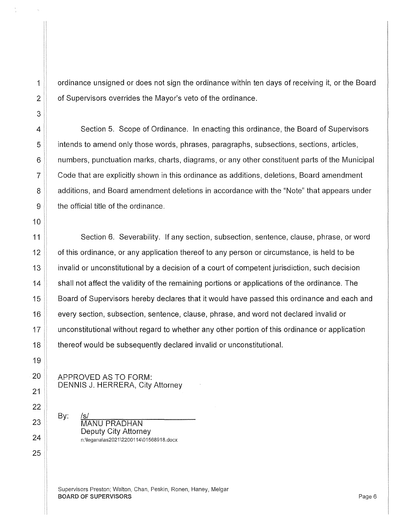ordinance unsigned or does not sign the ordinance within ten days of receiving it, or the Board of Supervisors overrides the Mayor's veto of the ordinance.

4 Section 5. Scope of Ordinance. In enacting this ordinance, the Board of Supervisors 5 intends to amend only those words, phrases, paragraphs, subsections, sections, articles, 6 numbers, punctuation marks, charts, diagrams, or any other constituent parts of the Municipal  $7 \parallel$  Code that are explicitly shown in this ordinance as additions, deletions, Board amendment 8 **8 Additions, and Board amendment deletions in accordance with the "Note" that appears under**  $9 \parallel$  the official title of the ordinance.

11 Section 6. Severability. If any section, subsection, sentence, clause, phrase, or word **1** of this ordinance, or any application thereof to any person or circumstance, is held to be 13 invalid or unconstitutional by a decision of a court of competent jurisdiction, such decision shall not affect the validity of the remaining portions or applications of the ordinance. The **Board of Supervisors hereby declares that it would have passed this ordinance and each and** every section, subsection, sentence, clause, phrase, and word not declared invalid or **the unconstitutional without regard to whether any other portion of this ordinance or application thereof would be subsequently declared invalid or unconstitutional.** 

APPROVED AS TO FORM: DENNIS J. HERRERA, City Attorney

By: ~/s~/~~~~~~~~~~~ MANU PRADHAN Deputy City Attorney n:\legana\as2021\2200114\01568918.docx

Supervisors Preston; Walton, Chan, Peskin, Ronen, Haney, Melgar BOARD OF SUPERVISORS AND RESERVED FOR A SERVICE OF SUPERVISORS AND RESERVED FOR A SERVICE OF SUPERVISORS AND RESERVED FOR A SERVICE OF SUPERVISORS